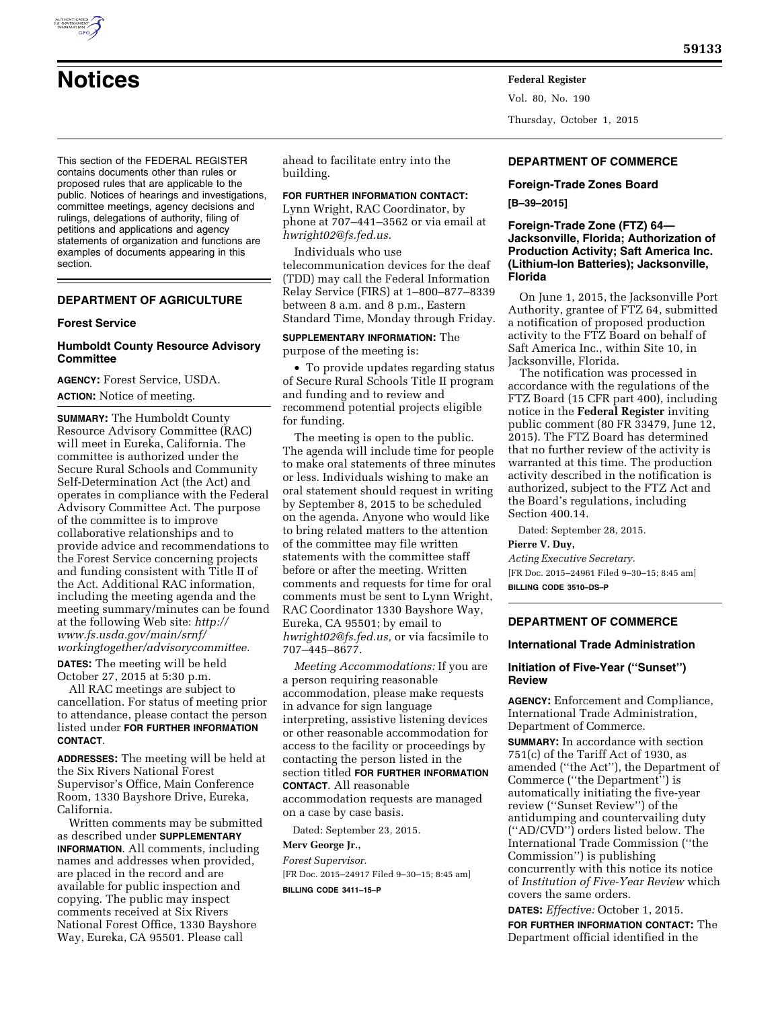

Vol. 80, No. 190 Thursday, October 1, 2015

This section of the FEDERAL REGISTER contains documents other than rules or proposed rules that are applicable to the public. Notices of hearings and investigations, committee meetings, agency decisions and rulings, delegations of authority, filing of petitions and applications and agency statements of organization and functions are examples of documents appearing in this section.

# **DEPARTMENT OF AGRICULTURE**

### **Forest Service**

# **Humboldt County Resource Advisory Committee**

**AGENCY:** Forest Service, USDA. **ACTION:** Notice of meeting.

**SUMMARY:** The Humboldt County Resource Advisory Committee (RAC) will meet in Eureka, California. The committee is authorized under the Secure Rural Schools and Community Self-Determination Act (the Act) and operates in compliance with the Federal Advisory Committee Act. The purpose of the committee is to improve collaborative relationships and to provide advice and recommendations to the Forest Service concerning projects and funding consistent with Title II of the Act. Additional RAC information, including the meeting agenda and the meeting summary/minutes can be found at the following Web site: *[http://](http://www.fs.usda.gov/main/srnf/workingtogether/advisorycommittee) [www.fs.usda.gov/main/srnf/](http://www.fs.usda.gov/main/srnf/workingtogether/advisorycommittee) [workingtogether/advisorycommittee.](http://www.fs.usda.gov/main/srnf/workingtogether/advisorycommittee)* 

**DATES:** The meeting will be held October 27, 2015 at 5:30 p.m.

All RAC meetings are subject to cancellation. For status of meeting prior to attendance, please contact the person listed under **FOR FURTHER INFORMATION CONTACT**.

**ADDRESSES:** The meeting will be held at the Six Rivers National Forest Supervisor's Office, Main Conference Room, 1330 Bayshore Drive, Eureka, California.

Written comments may be submitted as described under **SUPPLEMENTARY INFORMATION**. All comments, including names and addresses when provided, are placed in the record and are available for public inspection and copying. The public may inspect comments received at Six Rivers National Forest Office, 1330 Bayshore Way, Eureka, CA 95501. Please call

ahead to facilitate entry into the building.

# **FOR FURTHER INFORMATION CONTACT:**

Lynn Wright, RAC Coordinator, by phone at 707–441–3562 or via email at *[hwright02@fs.fed.us.](mailto:hwright02@fs.fed.us)* 

Individuals who use telecommunication devices for the deaf (TDD) may call the Federal Information Relay Service (FIRS) at 1–800–877–8339 between 8 a.m. and 8 p.m., Eastern Standard Time, Monday through Friday.

## **SUPPLEMENTARY INFORMATION:** The purpose of the meeting is:

• To provide updates regarding status of Secure Rural Schools Title II program and funding and to review and recommend potential projects eligible for funding.

The meeting is open to the public. The agenda will include time for people to make oral statements of three minutes or less. Individuals wishing to make an oral statement should request in writing by September 8, 2015 to be scheduled on the agenda. Anyone who would like to bring related matters to the attention of the committee may file written statements with the committee staff before or after the meeting. Written comments and requests for time for oral comments must be sent to Lynn Wright, RAC Coordinator 1330 Bayshore Way, Eureka, CA 95501; by email to *[hwright02@fs.fed.us,](mailto:hwright02@fs.fed.us)* or via facsimile to 707–445–8677.

*Meeting Accommodations:* If you are a person requiring reasonable accommodation, please make requests in advance for sign language interpreting, assistive listening devices or other reasonable accommodation for access to the facility or proceedings by contacting the person listed in the section titled **FOR FURTHER INFORMATION CONTACT**. All reasonable accommodation requests are managed on a case by case basis.

Dated: September 23, 2015.

### **Merv George Jr.,**

*Forest Supervisor.*  [FR Doc. 2015–24917 Filed 9–30–15; 8:45 am] **BILLING CODE 3411–15–P** 

### **DEPARTMENT OF COMMERCE**

#### **Foreign-Trade Zones Board**

**[B–39–2015]** 

# **Foreign-Trade Zone (FTZ) 64— Jacksonville, Florida; Authorization of Production Activity; Saft America Inc. (Lithium-Ion Batteries); Jacksonville, Florida**

On June 1, 2015, the Jacksonville Port Authority, grantee of FTZ 64, submitted a notification of proposed production activity to the FTZ Board on behalf of Saft America Inc., within Site 10, in Jacksonville, Florida.

The notification was processed in accordance with the regulations of the FTZ Board (15 CFR part 400), including notice in the **Federal Register** inviting public comment (80 FR 33479, June 12, 2015). The FTZ Board has determined that no further review of the activity is warranted at this time. The production activity described in the notification is authorized, subject to the FTZ Act and the Board's regulations, including Section 400.14.

Dated: September 28, 2015.

**Pierre V. Duy,** 

*Acting Executive Secretary.*  [FR Doc. 2015–24961 Filed 9–30–15; 8:45 am] **BILLING CODE 3510–DS–P** 

# **DEPARTMENT OF COMMERCE**

#### **International Trade Administration**

# **Initiation of Five-Year (''Sunset'') Review**

**AGENCY:** Enforcement and Compliance, International Trade Administration, Department of Commerce.

**SUMMARY:** In accordance with section 751(c) of the Tariff Act of 1930, as amended (''the Act''), the Department of Commerce (''the Department'') is automatically initiating the five-year review (''Sunset Review'') of the antidumping and countervailing duty (''AD/CVD'') orders listed below. The International Trade Commission (''the Commission'') is publishing concurrently with this notice its notice of *Institution of Five-Year Review* which covers the same orders.

**DATES:** *Effective:* October 1, 2015.

**FOR FURTHER INFORMATION CONTACT:** The Department official identified in the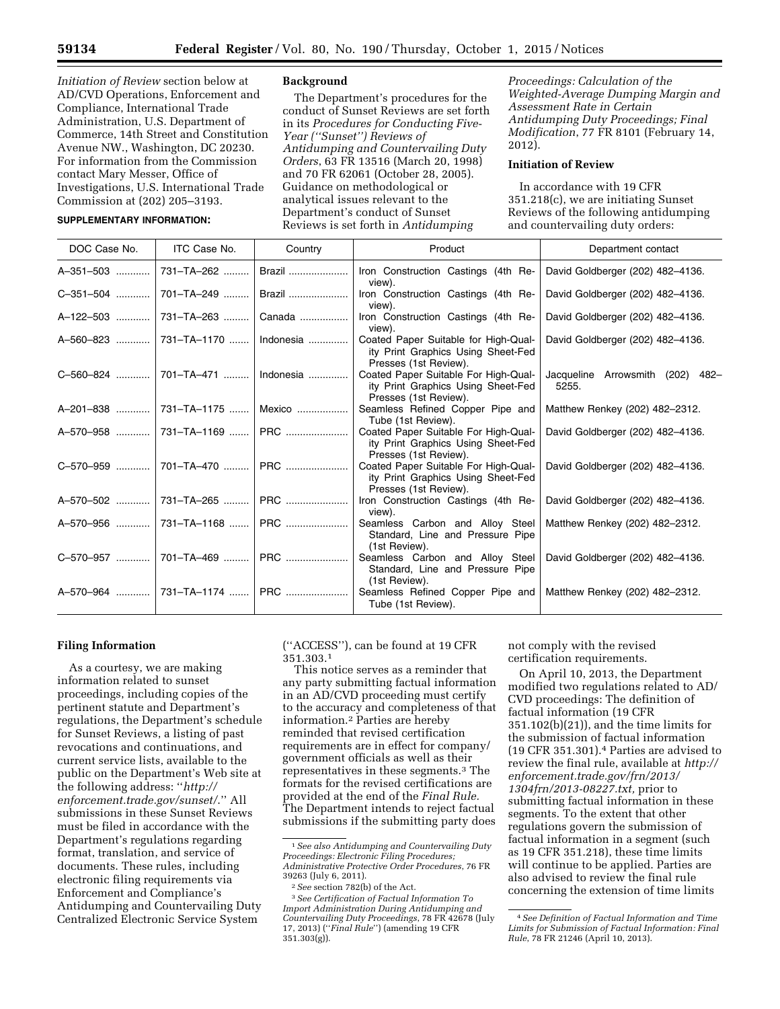*Initiation of Review* section below at AD/CVD Operations, Enforcement and Compliance, International Trade Administration, U.S. Department of Commerce, 14th Street and Constitution Avenue NW., Washington, DC 20230. For information from the Commission contact Mary Messer, Office of Investigations, U.S. International Trade Commission at (202) 205–3193.

### **SUPPLEMENTARY INFORMATION:**

#### **Background**

The Department's procedures for the conduct of Sunset Reviews are set forth in its *Procedures for Conducting Five-Year (''Sunset'') Reviews of Antidumping and Countervailing Duty Orders*, 63 FR 13516 (March 20, 1998) and 70 FR 62061 (October 28, 2005). Guidance on methodological or analytical issues relevant to the Department's conduct of Sunset Reviews is set forth in *Antidumping* 

*Proceedings: Calculation of the Weighted-Average Dumping Margin and Assessment Rate in Certain Antidumping Duty Proceedings; Final Modification*, 77 FR 8101 (February 14, 2012).

### **Initiation of Review**

In accordance with 19 CFR 351.218(c), we are initiating Sunset Reviews of the following antidumping and countervailing duty orders:

| DOC Case No. | ITC Case No.             | Country | Product                                                                                             | Department contact                        |
|--------------|--------------------------|---------|-----------------------------------------------------------------------------------------------------|-------------------------------------------|
| A-351-503    | 731-TA-262               | Brazil  | Iron Construction Castings (4th Re-<br>view).                                                       | David Goldberger (202) 482-4136.          |
| C-351-504    | 701-TA-249               | Brazil  | Iron Construction Castings (4th Re-<br>view).                                                       | David Goldberger (202) 482-4136.          |
| $A-122-503$  | 731-TA-263               | Canada  | Iron Construction Castings (4th Re-<br>view).                                                       | David Goldberger (202) 482-4136.          |
| A-560-823    | 731-TA-1170    Indonesia |         | Coated Paper Suitable for High-Qual-<br>ity Print Graphics Using Sheet-Fed<br>Presses (1st Review). | David Goldberger (202) 482-4136.          |
| C-560-824    | 701-TA-471    Indonesia  |         | Coated Paper Suitable For High-Qual-<br>ity Print Graphics Using Sheet-Fed<br>Presses (1st Review). | Jacqueline Arrowsmith (202) 482-<br>5255. |
| A-201-838    | 731-TA-1175              | Mexico  | Seamless Refined Copper Pipe and<br>Tube (1st Review).                                              | Matthew Renkey (202) 482-2312.            |
| A-570-958    | 731–TA–1169  PRC         |         | Coated Paper Suitable For High-Qual-<br>ity Print Graphics Using Sheet-Fed<br>Presses (1st Review). | David Goldberger (202) 482-4136.          |
| C-570-959    | 701-TA-470  PRC          |         | Coated Paper Suitable For High-Qual-<br>ity Print Graphics Using Sheet-Fed<br>Presses (1st Review). | David Goldberger (202) 482-4136.          |
| A-570-502    | 731-TA-265               | PRC     | Iron Construction Castings (4th Re-<br>view).                                                       | David Goldberger (202) 482-4136.          |
| A-570-956    | 731–TA–1168  PRC         |         | Seamless Carbon and Alloy Steel<br>Standard, Line and Pressure Pipe<br>(1st Review).                | Matthew Renkey (202) 482-2312.            |
| C-570-957    | 701–TA–469  PRC          |         | Seamless Carbon and Alloy Steel<br>Standard, Line and Pressure Pipe<br>(1st Review).                | David Goldberger (202) 482-4136.          |
| A-570-964    | 731–TA–1174  PRC         |         | Seamless Refined Copper Pipe and<br>Tube (1st Review).                                              | Matthew Renkey (202) 482-2312.            |

### **Filing Information**

As a courtesy, we are making information related to sunset proceedings, including copies of the pertinent statute and Department's regulations, the Department's schedule for Sunset Reviews, a listing of past revocations and continuations, and current service lists, available to the public on the Department's Web site at the following address: ''*[http://](http://enforcement.trade.gov/sunset/) [enforcement.trade.gov/sunset/](http://enforcement.trade.gov/sunset/)*.'' All submissions in these Sunset Reviews must be filed in accordance with the Department's regulations regarding format, translation, and service of documents. These rules, including electronic filing requirements via Enforcement and Compliance's Antidumping and Countervailing Duty Centralized Electronic Service System

(''ACCESS''), can be found at 19 CFR 351.303.1

This notice serves as a reminder that any party submitting factual information in an AD/CVD proceeding must certify to the accuracy and completeness of that information.2 Parties are hereby reminded that revised certification requirements are in effect for company/ government officials as well as their representatives in these segments.3 The formats for the revised certifications are provided at the end of the *Final Rule.*  The Department intends to reject factual submissions if the submitting party does

not comply with the revised certification requirements.

On April 10, 2013, the Department modified two regulations related to AD/ CVD proceedings: The definition of factual information (19 CFR 351.102(b)(21)), and the time limits for the submission of factual information (19 CFR 351.301).4 Parties are advised to review the final rule, available at *[http://](http://enforcement.trade.gov/frn/2013/1304frn/2013-08227.txt)  [enforcement.trade.gov/frn/2013/](http://enforcement.trade.gov/frn/2013/1304frn/2013-08227.txt) [1304frn/2013-08227.txt,](http://enforcement.trade.gov/frn/2013/1304frn/2013-08227.txt)* prior to submitting factual information in these segments. To the extent that other regulations govern the submission of factual information in a segment (such as 19 CFR 351.218), these time limits will continue to be applied. Parties are also advised to review the final rule concerning the extension of time limits

<sup>1</sup>*See also Antidumping and Countervailing Duty Proceedings: Electronic Filing Procedures; Administrative Protective Order Procedures*, 76 FR

<sup>39263 (</sup>July 6, 2011). 2*See* section 782(b) of the Act. 3*See Certification of Factual Information To Import Administration During Antidumping and Countervailing Duty Proceedings*, 78 FR 42678 (July 17, 2013) (''*Final Rule*'') (amending 19 CFR 351.303(g)).

<sup>4</sup>*See Definition of Factual Information and Time Limits for Submission of Factual Information: Final Rule*, 78 FR 21246 (April 10, 2013).